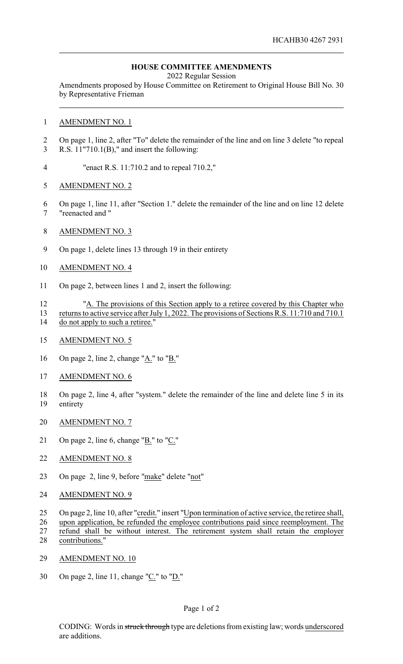## **HOUSE COMMITTEE AMENDMENTS**

2022 Regular Session

Amendments proposed by House Committee on Retirement to Original House Bill No. 30 by Representative Frieman

- AMENDMENT NO. 1
- On page 1, line 2, after "To" delete the remainder of the line and on line 3 delete "to repeal R.S. 11"710.1(B)," and insert the following:
- "enact R.S. 11:710.2 and to repeal 710.2,"
- AMENDMENT NO. 2
- On page 1, line 11, after "Section 1." delete the remainder of the line and on line 12 delete "reenacted and "
- AMENDMENT NO. 3
- On page 1, delete lines 13 through 19 in their entirety
- AMENDMENT NO. 4
- On page 2, between lines 1 and 2, insert the following:
- <sup>"</sup>A. The provisions of this Section apply to a retiree covered by this Chapter who returns to active service after July 1, 2022. The provisions of Sections R.S. 11:710 and 710.1
- 14 do not apply to such a retiree."
- AMENDMENT NO. 5
- On page 2, line 2, change "A." to "B."
- AMENDMENT NO. 6
- On page 2, line 4, after "system." delete the remainder of the line and delete line 5 in its entirety
- AMENDMENT NO. 7
- On page 2, line 6, change "B." to "C."
- AMENDMENT NO. 8
- On page 2, line 9, before "make" delete "not"
- AMENDMENT NO. 9
- 25 On page 2, line 10, after "credit." insert "Upon termination of active service, the retiree shall,
- 26 upon application, be refunded the employee contributions paid since reemployment. The refund shall be without interest. The retirement system shall retain the employer refund shall be without interest. The retirement system shall retain the employer
- contributions."
- 29 AMENDMENT NO. 10
- 30 On page 2, line 11, change " $C$ ." to " $D$ ."

## Page 1 of 2

CODING: Words in struck through type are deletions from existing law; words underscored are additions.